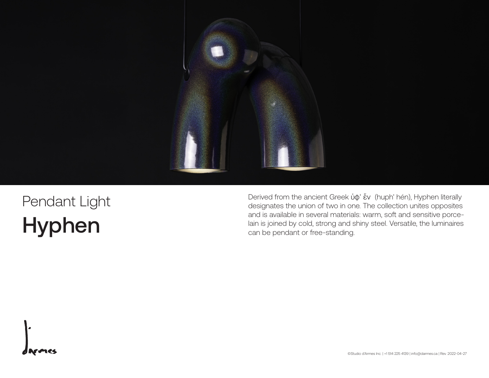

## Pendant Light Hyphen

Derived from the ancient Greek ὑφ' ἕv (huph' hén), Hyphen literally designates the union of two in one. The collection unites opposites and is available in several materials: warm, soft and sensitive porce lain is joined by cold, strong and shiny steel. Versatile, the luminaires can be pendant or free-standing.